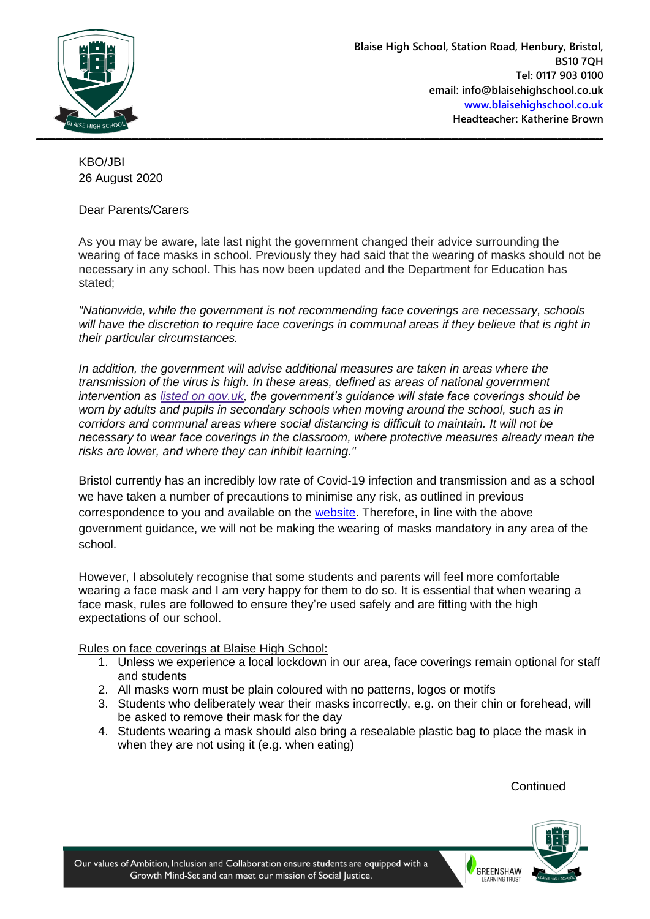

KBO/JBI 26 August 2020

## Dear Parents/Carers

As you may be aware, late last night the government changed their advice surrounding the wearing of face masks in school. Previously they had said that the wearing of masks should not be necessary in any school. This has now been updated and the Department for Education has stated;

*"Nationwide, while the government is not recommending face coverings are necessary, schools will have the discretion to require face coverings in communal areas if they believe that is right in their particular circumstances.*

*In addition, the government will advise additional measures are taken in areas where the transmission of the virus is high. In these areas, defined as areas of national government intervention as listed on [gov.uk,](https://www.gov.uk/government/collections/local-restrictions-areas-with-an-outbreak-of-coronavirus-covid-19) the government's guidance will state face coverings should be worn by adults and pupils in secondary schools when moving around the school, such as in corridors and communal areas where social distancing is difficult to maintain. It will not be necessary to wear face coverings in the classroom, where protective measures already mean the risks are lower, and where they can inhibit learning."*

Bristol currently has an incredibly low rate of Covid-19 infection and transmission and as a school we have taken a number of precautions to minimise any risk, as outlined in previous correspondence to you and available on the [website.](http://www.blaisehighschool.co.uk/news-events/latest/blaise-high-school-re-opening-information) Therefore, in line with the above government guidance, we will not be making the wearing of masks mandatory in any area of the school.

However, I absolutely recognise that some students and parents will feel more comfortable wearing a face mask and I am very happy for them to do so. It is essential that when wearing a face mask, rules are followed to ensure they're used safely and are fitting with the high expectations of our school.

Rules on face coverings at Blaise High School:

- 1. Unless we experience a local lockdown in our area, face coverings remain optional for staff and students
- 2. All masks worn must be plain coloured with no patterns, logos or motifs
- 3. Students who deliberately wear their masks incorrectly, e.g. on their chin or forehead, will be asked to remove their mask for the day
- 4. Students wearing a mask should also bring a resealable plastic bag to place the mask in when they are not using it (e.g. when eating)

**Continued**